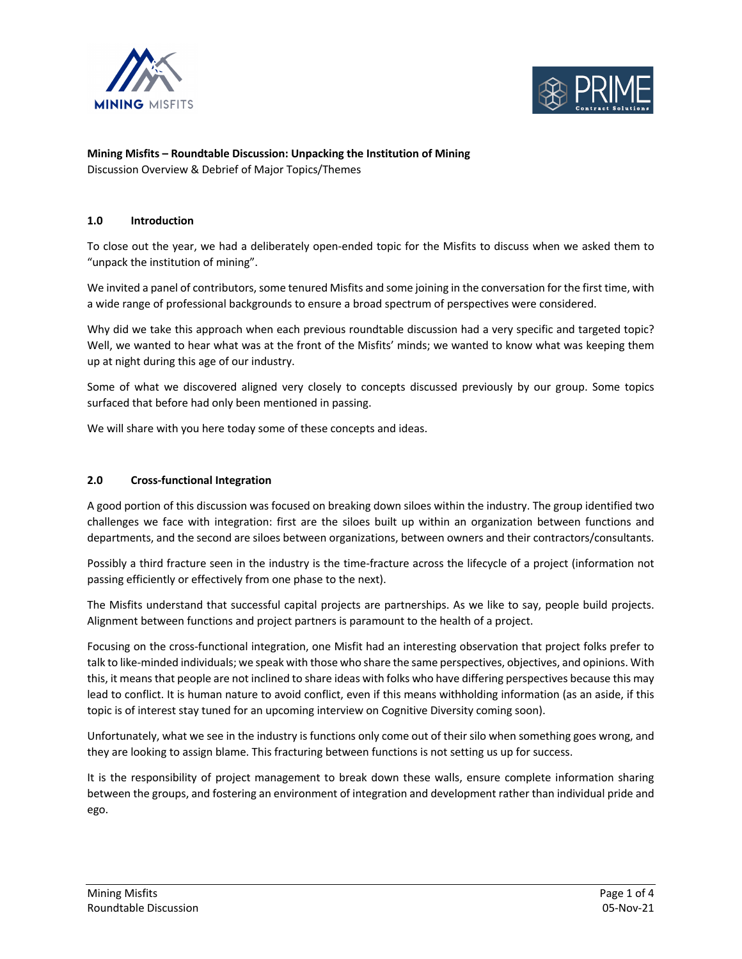



#### **Mining Misfits – Roundtable Discussion: Unpacking the Institution of Mining** Discussion Overview & Debrief of Major Topics/Themes

## **1.0 Introduction**

To close out the year, we had a deliberately open-ended topic for the Misfits to discuss when we asked them to "unpack the institution of mining".

We invited a panel of contributors, some tenured Misfits and some joining in the conversation for the first time, with a wide range of professional backgrounds to ensure a broad spectrum of perspectives were considered.

Why did we take this approach when each previous roundtable discussion had a very specific and targeted topic? Well, we wanted to hear what was at the front of the Misfits' minds; we wanted to know what was keeping them up at night during this age of our industry.

Some of what we discovered aligned very closely to concepts discussed previously by our group. Some topics surfaced that before had only been mentioned in passing.

We will share with you here today some of these concepts and ideas.

#### **2.0 Cross-functional Integration**

A good portion of this discussion was focused on breaking down siloes within the industry. The group identified two challenges we face with integration: first are the siloes built up within an organization between functions and departments, and the second are siloes between organizations, between owners and their contractors/consultants.

Possibly a third fracture seen in the industry is the time-fracture across the lifecycle of a project (information not passing efficiently or effectively from one phase to the next).

The Misfits understand that successful capital projects are partnerships. As we like to say, people build projects. Alignment between functions and project partners is paramount to the health of a project.

Focusing on the cross-functional integration, one Misfit had an interesting observation that project folks prefer to talk to like-minded individuals; we speak with those who share the same perspectives, objectives, and opinions. With this, it means that people are not inclined to share ideas with folks who have differing perspectives because this may lead to conflict. It is human nature to avoid conflict, even if this means withholding information (as an aside, if this topic is of interest stay tuned for an upcoming interview on Cognitive Diversity coming soon).

Unfortunately, what we see in the industry is functions only come out of their silo when something goes wrong, and they are looking to assign blame. This fracturing between functions is not setting us up for success.

It is the responsibility of project management to break down these walls, ensure complete information sharing between the groups, and fostering an environment of integration and development rather than individual pride and ego.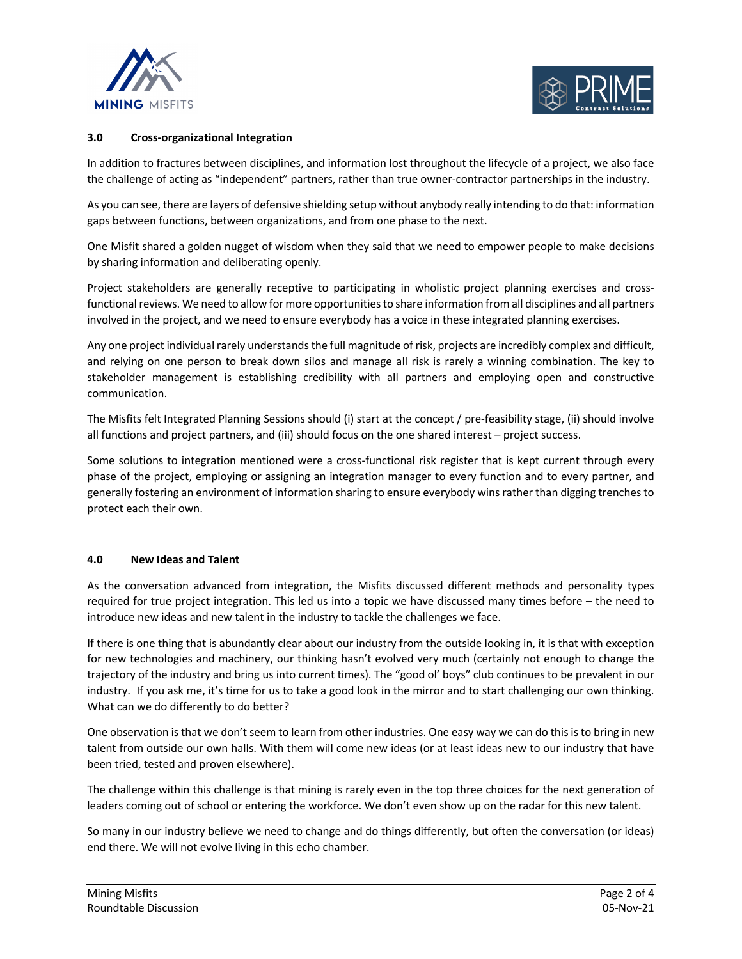



## **3.0 Cross-organizational Integration**

In addition to fractures between disciplines, and information lost throughout the lifecycle of a project, we also face the challenge of acting as "independent" partners, rather than true owner-contractor partnerships in the industry.

As you can see, there are layers of defensive shielding setup without anybody really intending to do that: information gaps between functions, between organizations, and from one phase to the next.

One Misfit shared a golden nugget of wisdom when they said that we need to empower people to make decisions by sharing information and deliberating openly.

Project stakeholders are generally receptive to participating in wholistic project planning exercises and crossfunctional reviews. We need to allow for more opportunities to share information from all disciplines and all partners involved in the project, and we need to ensure everybody has a voice in these integrated planning exercises.

Any one project individual rarely understands the full magnitude of risk, projects are incredibly complex and difficult, and relying on one person to break down silos and manage all risk is rarely a winning combination. The key to stakeholder management is establishing credibility with all partners and employing open and constructive communication.

The Misfits felt Integrated Planning Sessions should (i) start at the concept / pre-feasibility stage, (ii) should involve all functions and project partners, and (iii) should focus on the one shared interest – project success.

Some solutions to integration mentioned were a cross-functional risk register that is kept current through every phase of the project, employing or assigning an integration manager to every function and to every partner, and generally fostering an environment of information sharing to ensure everybody wins rather than digging trenches to protect each their own.

## **4.0 New Ideas and Talent**

As the conversation advanced from integration, the Misfits discussed different methods and personality types required for true project integration. This led us into a topic we have discussed many times before – the need to introduce new ideas and new talent in the industry to tackle the challenges we face.

If there is one thing that is abundantly clear about our industry from the outside looking in, it is that with exception for new technologies and machinery, our thinking hasn't evolved very much (certainly not enough to change the trajectory of the industry and bring us into current times). The "good ol' boys" club continues to be prevalent in our industry. If you ask me, it's time for us to take a good look in the mirror and to start challenging our own thinking. What can we do differently to do better?

One observation is that we don't seem to learn from other industries. One easy way we can do this is to bring in new talent from outside our own halls. With them will come new ideas (or at least ideas new to our industry that have been tried, tested and proven elsewhere).

The challenge within this challenge is that mining is rarely even in the top three choices for the next generation of leaders coming out of school or entering the workforce. We don't even show up on the radar for this new talent.

So many in our industry believe we need to change and do things differently, but often the conversation (or ideas) end there. We will not evolve living in this echo chamber.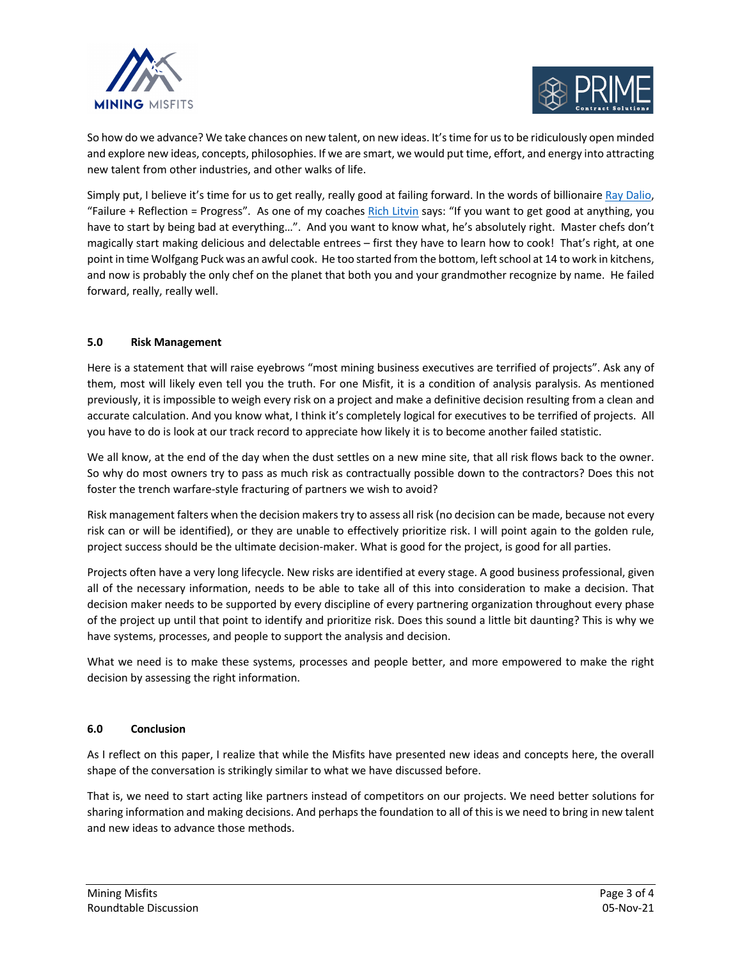



So how do we advance? We take chances on new talent, on new ideas. It's time for us to be ridiculously open minded and explore new ideas, concepts, philosophies. If we are smart, we would put time, effort, and energy into attracting new talent from other industries, and other walks of life.

Simply put, I believe it's time for us to get really, really good at failing forward. In the words of billionaire Ray Dalio, "Failure + Reflection = Progress". As one of my coaches Rich Litvin says: "If you want to get good at anything, you have to start by being bad at everything…". And you want to know what, he's absolutely right. Master chefs don't magically start making delicious and delectable entrees – first they have to learn how to cook! That's right, at one point in time Wolfgang Puck was an awful cook. He too started from the bottom, left school at 14 to work in kitchens, and now is probably the only chef on the planet that both you and your grandmother recognize by name. He failed forward, really, really well.

# **5.0 Risk Management**

Here is a statement that will raise eyebrows "most mining business executives are terrified of projects". Ask any of them, most will likely even tell you the truth. For one Misfit, it is a condition of analysis paralysis. As mentioned previously, it is impossible to weigh every risk on a project and make a definitive decision resulting from a clean and accurate calculation. And you know what, I think it's completely logical for executives to be terrified of projects. All you have to do is look at our track record to appreciate how likely it is to become another failed statistic.

We all know, at the end of the day when the dust settles on a new mine site, that all risk flows back to the owner. So why do most owners try to pass as much risk as contractually possible down to the contractors? Does this not foster the trench warfare-style fracturing of partners we wish to avoid?

Risk management falters when the decision makers try to assess all risk (no decision can be made, because not every risk can or will be identified), or they are unable to effectively prioritize risk. I will point again to the golden rule, project success should be the ultimate decision-maker. What is good for the project, is good for all parties.

Projects often have a very long lifecycle. New risks are identified at every stage. A good business professional, given all of the necessary information, needs to be able to take all of this into consideration to make a decision. That decision maker needs to be supported by every discipline of every partnering organization throughout every phase of the project up until that point to identify and prioritize risk. Does this sound a little bit daunting? This is why we have systems, processes, and people to support the analysis and decision.

What we need is to make these systems, processes and people better, and more empowered to make the right decision by assessing the right information.

## **6.0 Conclusion**

As I reflect on this paper, I realize that while the Misfits have presented new ideas and concepts here, the overall shape of the conversation is strikingly similar to what we have discussed before.

That is, we need to start acting like partners instead of competitors on our projects. We need better solutions for sharing information and making decisions. And perhaps the foundation to all of this is we need to bring in new talent and new ideas to advance those methods.